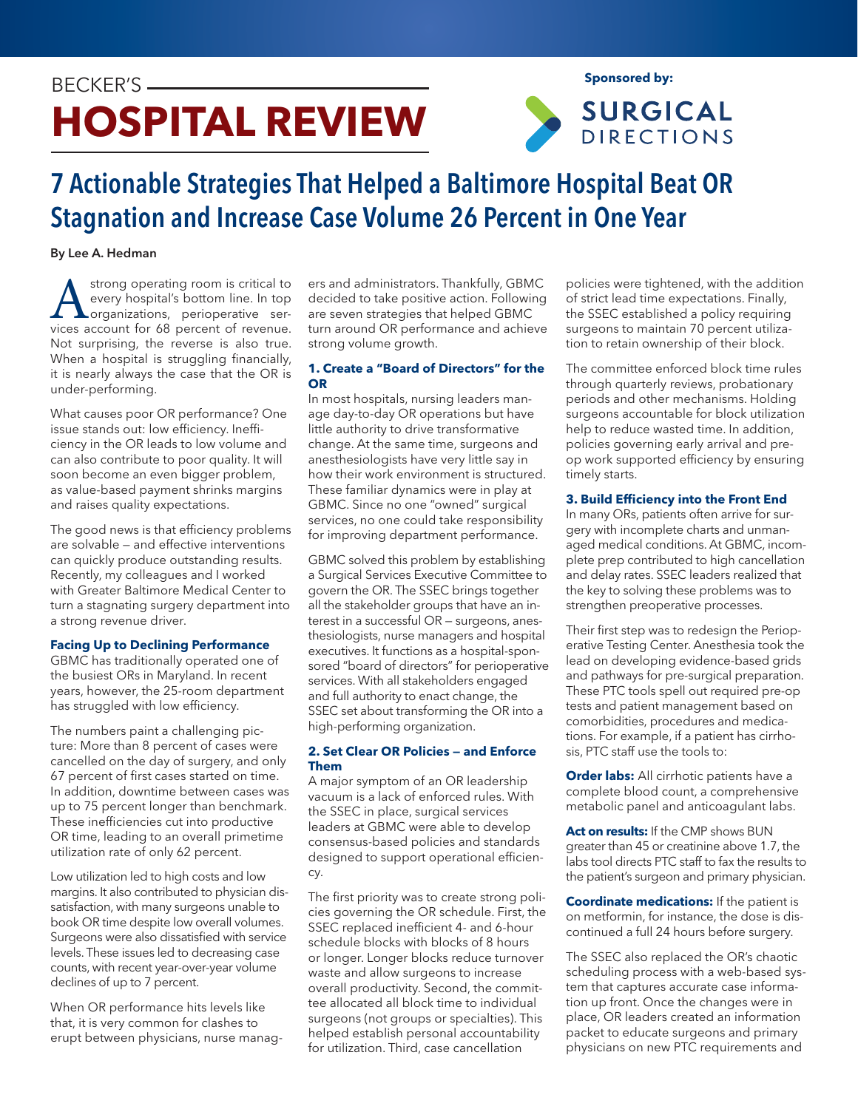# BECKER'S **HOSPITAL REVIEW**



**Sponsored by:**

# 7 Actionable Strategies That Helped a Baltimore Hospital Beat OR Stagnation and Increase Case Volume 26 Percent in One Year

# By Lee A. Hedman

strong operating room is critical to<br>every hospital's bottom line. In top<br>organizations. perioperative serevery hospital's bottom line. In top organizations, perioperative services account for 68 percent of revenue. Not surprising, the reverse is also true. When a hospital is struggling financially, it is nearly always the case that the OR is under-performing.

What causes poor OR performance? One issue stands out: low efficiency. Inefficiency in the OR leads to low volume and can also contribute to poor quality. It will soon become an even bigger problem, as value-based payment shrinks margins and raises quality expectations.

The good news is that efficiency problems are solvable — and effective interventions can quickly produce outstanding results. Recently, my colleagues and I worked with Greater Baltimore Medical Center to turn a stagnating surgery department into a strong revenue driver.

# **Facing Up to Declining Performance**

GBMC has traditionally operated one of the busiest ORs in Maryland. In recent years, however, the 25-room department has struggled with low efficiency.

The numbers paint a challenging picture: More than 8 percent of cases were cancelled on the day of surgery, and only 67 percent of first cases started on time. In addition, downtime between cases was up to 75 percent longer than benchmark. These inefficiencies cut into productive OR time, leading to an overall primetime utilization rate of only 62 percent.

Low utilization led to high costs and low margins. It also contributed to physician dissatisfaction, with many surgeons unable to book OR time despite low overall volumes. Surgeons were also dissatisfied with service levels. These issues led to decreasing case counts, with recent year-over-year volume declines of up to 7 percent.

When OR performance hits levels like that, it is very common for clashes to erupt between physicians, nurse managers and administrators. Thankfully, GBMC decided to take positive action. Following are seven strategies that helped GBMC turn around OR performance and achieve strong volume growth.

# **1. Create a "Board of Directors" for the OR**

In most hospitals, nursing leaders manage day-to-day OR operations but have little authority to drive transformative change. At the same time, surgeons and anesthesiologists have very little say in how their work environment is structured. These familiar dynamics were in play at GBMC. Since no one "owned" surgical services, no one could take responsibility for improving department performance.

GBMC solved this problem by establishing a Surgical Services Executive Committee to govern the OR. The SSEC brings together all the stakeholder groups that have an interest in a successful OR — surgeons, anesthesiologists, nurse managers and hospital executives. It functions as a hospital-sponsored "board of directors" for perioperative services. With all stakeholders engaged and full authority to enact change, the SSEC set about transforming the OR into a high-performing organization.

# **2. Set Clear OR Policies — and Enforce Them**

A major symptom of an OR leadership vacuum is a lack of enforced rules. With the SSEC in place, surgical services leaders at GBMC were able to develop consensus-based policies and standards designed to support operational efficiency.

The first priority was to create strong policies governing the OR schedule. First, the SSEC replaced inefficient 4- and 6-hour schedule blocks with blocks of 8 hours or longer. Longer blocks reduce turnover waste and allow surgeons to increase overall productivity. Second, the committee allocated all block time to individual surgeons (not groups or specialties). This helped establish personal accountability for utilization. Third, case cancellation

policies were tightened, with the addition of strict lead time expectations. Finally, the SSEC established a policy requiring surgeons to maintain 70 percent utilization to retain ownership of their block.

The committee enforced block time rules through quarterly reviews, probationary periods and other mechanisms. Holding surgeons accountable for block utilization help to reduce wasted time. In addition, policies governing early arrival and preop work supported efficiency by ensuring timely starts.

# **3. Build Efficiency into the Front End**

In many ORs, patients often arrive for surgery with incomplete charts and unmanaged medical conditions. At GBMC, incomplete prep contributed to high cancellation and delay rates. SSEC leaders realized that the key to solving these problems was to strengthen preoperative processes.

Their first step was to redesign the Perioperative Testing Center. Anesthesia took the lead on developing evidence-based grids and pathways for pre-surgical preparation. These PTC tools spell out required pre-op tests and patient management based on comorbidities, procedures and medications. For example, if a patient has cirrhosis, PTC staff use the tools to:

**Order labs:** All cirrhotic patients have a complete blood count, a comprehensive metabolic panel and anticoagulant labs.

**Act on results:** If the CMP shows BUN greater than 45 or creatinine above 1.7, the labs tool directs PTC staff to fax the results to the patient's surgeon and primary physician.

**Coordinate medications:** If the patient is on metformin, for instance, the dose is discontinued a full 24 hours before surgery.

The SSEC also replaced the OR's chaotic scheduling process with a web-based system that captures accurate case information up front. Once the changes were in place, OR leaders created an information packet to educate surgeons and primary physicians on new PTC requirements and